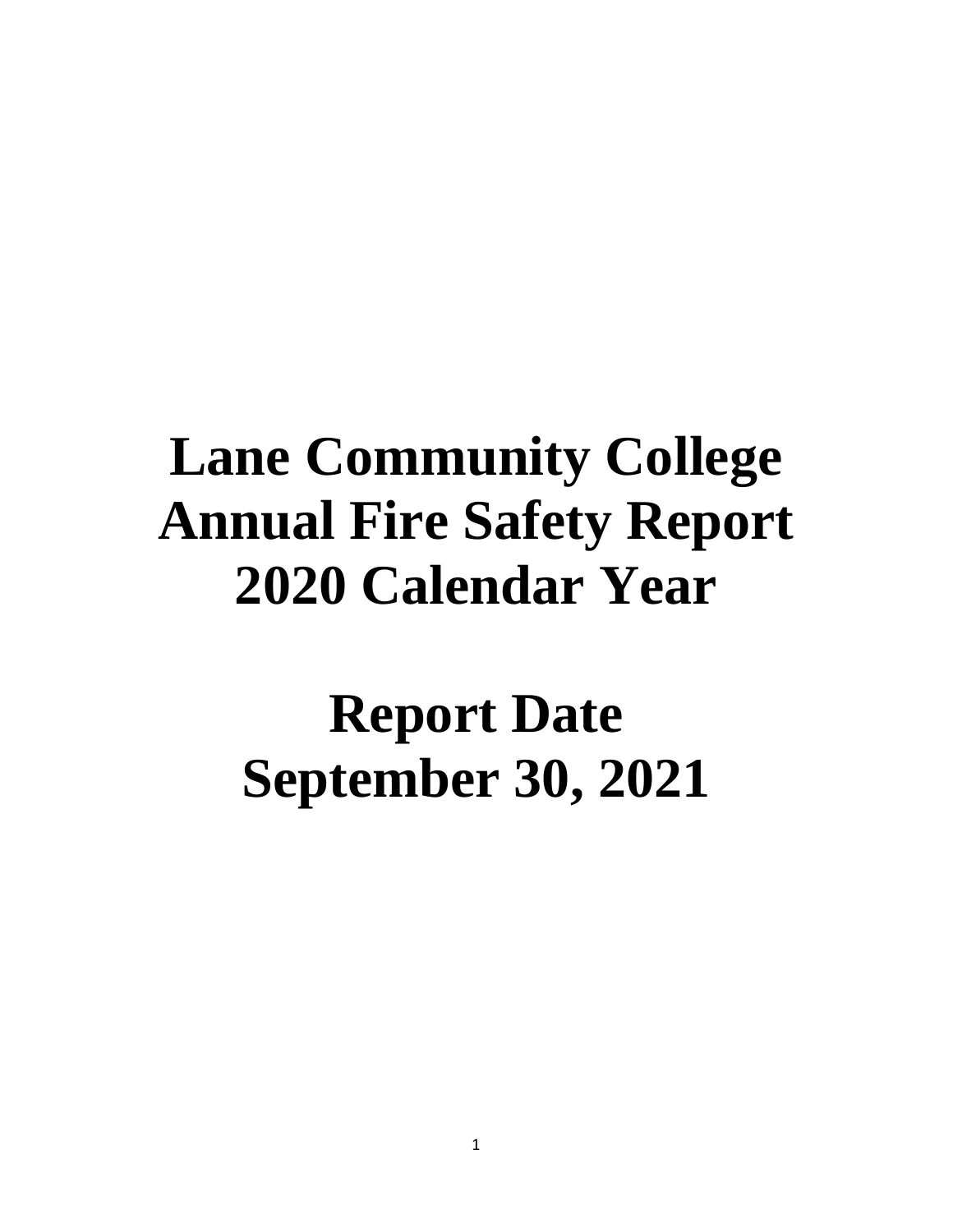# **Lane Community College Annual Fire Safety Report 2020 Calendar Year**

# **Report Date September 30, 2021**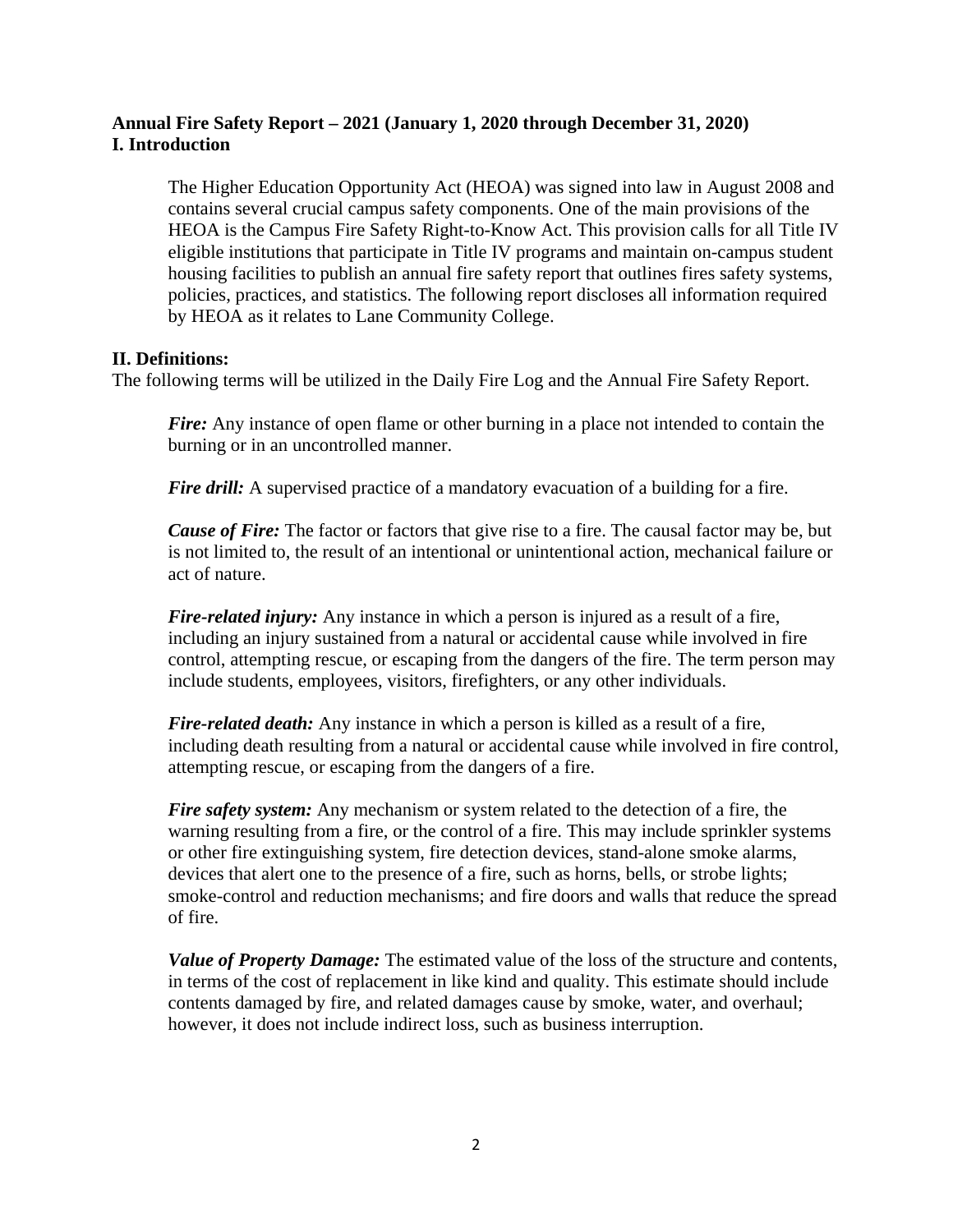#### **Annual Fire Safety Report – 2021 (January 1, 2020 through December 31, 2020) I. Introduction**

The Higher Education Opportunity Act (HEOA) was signed into law in August 2008 and contains several crucial campus safety components. One of the main provisions of the HEOA is the Campus Fire Safety Right-to-Know Act. This provision calls for all Title IV eligible institutions that participate in Title IV programs and maintain on-campus student housing facilities to publish an annual fire safety report that outlines fires safety systems, policies, practices, and statistics. The following report discloses all information required by HEOA as it relates to Lane Community College.

#### **II. Definitions:**

The following terms will be utilized in the Daily Fire Log and the Annual Fire Safety Report.

*Fire:* Any instance of open flame or other burning in a place not intended to contain the burning or in an uncontrolled manner.

*Fire drill:* A supervised practice of a mandatory evacuation of a building for a fire.

*Cause of Fire:* The factor or factors that give rise to a fire. The causal factor may be, but is not limited to, the result of an intentional or unintentional action, mechanical failure or act of nature.

*Fire-related injury:* Any instance in which a person is injured as a result of a fire, including an injury sustained from a natural or accidental cause while involved in fire control, attempting rescue, or escaping from the dangers of the fire. The term person may include students, employees, visitors, firefighters, or any other individuals.

*Fire-related death:* Any instance in which a person is killed as a result of a fire, including death resulting from a natural or accidental cause while involved in fire control, attempting rescue, or escaping from the dangers of a fire.

*Fire safety system:* Any mechanism or system related to the detection of a fire, the warning resulting from a fire, or the control of a fire. This may include sprinkler systems or other fire extinguishing system, fire detection devices, stand-alone smoke alarms, devices that alert one to the presence of a fire, such as horns, bells, or strobe lights; smoke-control and reduction mechanisms; and fire doors and walls that reduce the spread of fire.

*Value of Property Damage:* The estimated value of the loss of the structure and contents, in terms of the cost of replacement in like kind and quality. This estimate should include contents damaged by fire, and related damages cause by smoke, water, and overhaul; however, it does not include indirect loss, such as business interruption.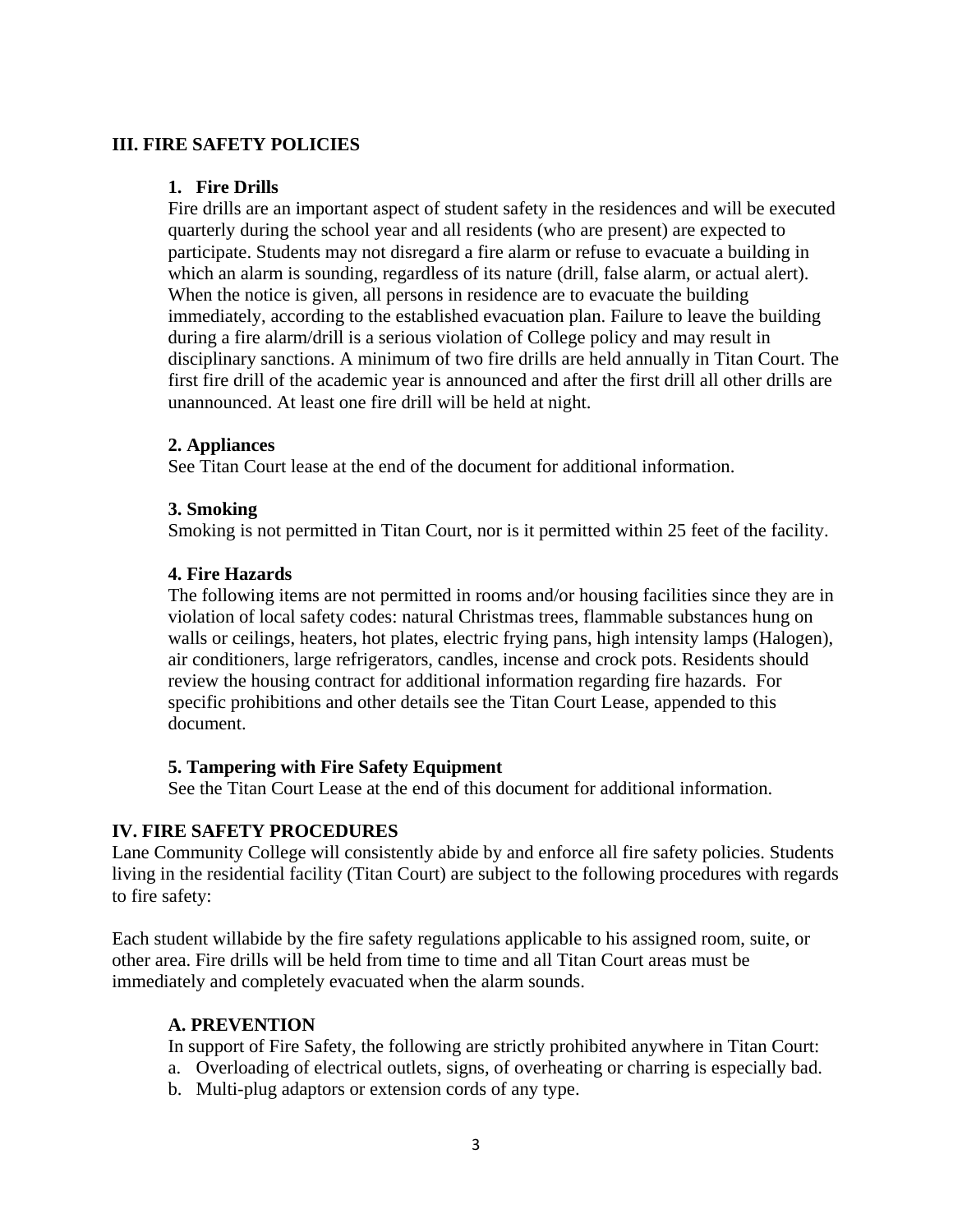#### **III. FIRE SAFETY POLICIES**

#### **1. Fire Drills**

Fire drills are an important aspect of student safety in the residences and will be executed quarterly during the school year and all residents (who are present) are expected to participate. Students may not disregard a fire alarm or refuse to evacuate a building in which an alarm is sounding, regardless of its nature (drill, false alarm, or actual alert). When the notice is given, all persons in residence are to evacuate the building immediately, according to the established evacuation plan. Failure to leave the building during a fire alarm/drill is a serious violation of College policy and may result in disciplinary sanctions. A minimum of two fire drills are held annually in Titan Court. The first fire drill of the academic year is announced and after the first drill all other drills are unannounced. At least one fire drill will be held at night.

#### **2. Appliances**

See Titan Court lease at the end of the document for additional information.

#### **3. Smoking**

Smoking is not permitted in Titan Court, nor is it permitted within 25 feet of the facility.

#### **4. Fire Hazards**

The following items are not permitted in rooms and/or housing facilities since they are in violation of local safety codes: natural Christmas trees, flammable substances hung on walls or ceilings, heaters, hot plates, electric frying pans, high intensity lamps (Halogen), air conditioners, large refrigerators, candles, incense and crock pots. Residents should review the housing contract for additional information regarding fire hazards. For specific prohibitions and other details see the Titan Court Lease, appended to this document.

#### **5. Tampering with Fire Safety Equipment**

See the Titan Court Lease at the end of this document for additional information.

#### **IV. FIRE SAFETY PROCEDURES**

Lane Community College will consistently abide by and enforce all fire safety policies. Students living in the residential facility (Titan Court) are subject to the following procedures with regards to fire safety:

Each student willabide by the fire safety regulations applicable to his assigned room, suite, or other area. Fire drills will be held from time to time and all Titan Court areas must be immediately and completely evacuated when the alarm sounds.

#### **A. PREVENTION**

In support of Fire Safety, the following are strictly prohibited anywhere in Titan Court:

- a. Overloading of electrical outlets, signs, of overheating or charring is especially bad.
- b. Multi-plug adaptors or extension cords of any type.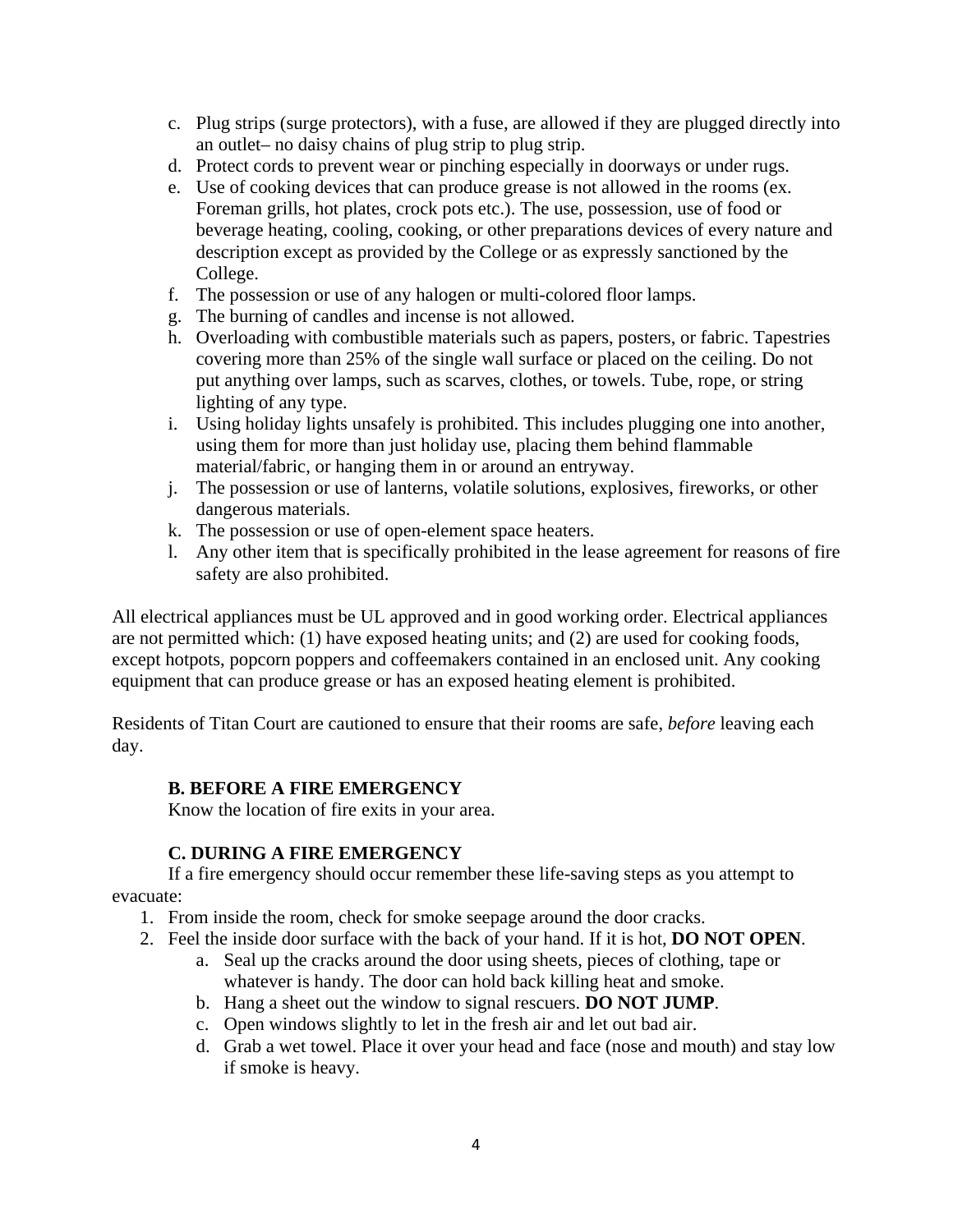- c. Plug strips (surge protectors), with a fuse, are allowed if they are plugged directly into an outlet– no daisy chains of plug strip to plug strip.
- d. Protect cords to prevent wear or pinching especially in doorways or under rugs.
- e. Use of cooking devices that can produce grease is not allowed in the rooms (ex. Foreman grills, hot plates, crock pots etc.). The use, possession, use of food or beverage heating, cooling, cooking, or other preparations devices of every nature and description except as provided by the College or as expressly sanctioned by the College.
- f. The possession or use of any halogen or multi-colored floor lamps.
- g. The burning of candles and incense is not allowed.
- h. Overloading with combustible materials such as papers, posters, or fabric. Tapestries covering more than 25% of the single wall surface or placed on the ceiling. Do not put anything over lamps, such as scarves, clothes, or towels. Tube, rope, or string lighting of any type.
- i. Using holiday lights unsafely is prohibited. This includes plugging one into another, using them for more than just holiday use, placing them behind flammable material/fabric, or hanging them in or around an entryway.
- j. The possession or use of lanterns, volatile solutions, explosives, fireworks, or other dangerous materials.
- k. The possession or use of open-element space heaters.
- l. Any other item that is specifically prohibited in the lease agreement for reasons of fire safety are also prohibited.

All electrical appliances must be UL approved and in good working order. Electrical appliances are not permitted which: (1) have exposed heating units; and (2) are used for cooking foods, except hotpots, popcorn poppers and coffeemakers contained in an enclosed unit. Any cooking equipment that can produce grease or has an exposed heating element is prohibited.

Residents of Titan Court are cautioned to ensure that their rooms are safe, *before* leaving each day.

#### **B. BEFORE A FIRE EMERGENCY**

Know the location of fire exits in your area.

#### **C. DURING A FIRE EMERGENCY**

If a fire emergency should occur remember these life-saving steps as you attempt to evacuate:

- 1. From inside the room, check for smoke seepage around the door cracks.
- 2. Feel the inside door surface with the back of your hand. If it is hot, **DO NOT OPEN**.
	- a. Seal up the cracks around the door using sheets, pieces of clothing, tape or whatever is handy. The door can hold back killing heat and smoke.
	- b. Hang a sheet out the window to signal rescuers. **DO NOT JUMP**.
	- c. Open windows slightly to let in the fresh air and let out bad air.
	- d. Grab a wet towel. Place it over your head and face (nose and mouth) and stay low if smoke is heavy.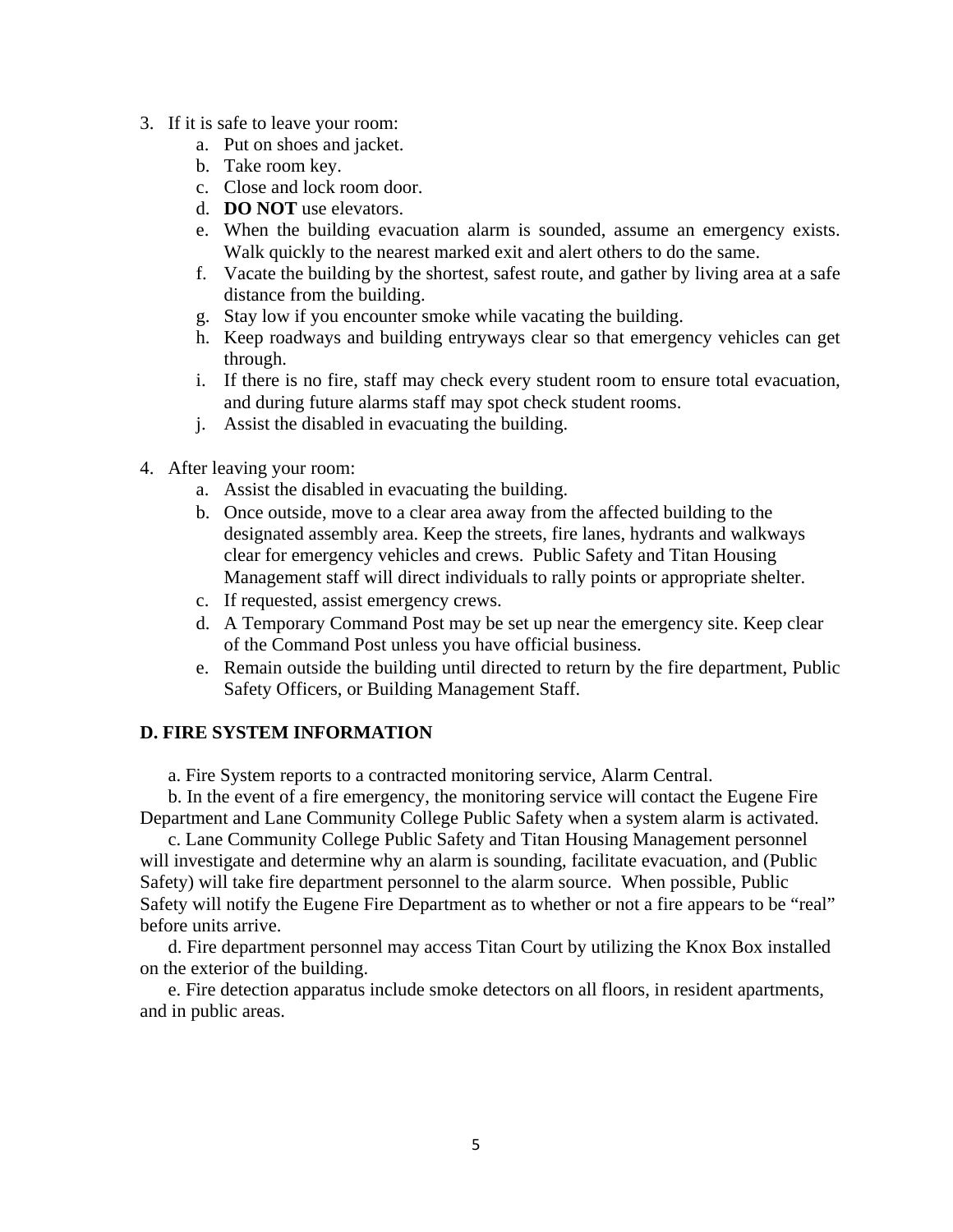- 3. If it is safe to leave your room:
	- a. Put on shoes and jacket.
	- b. Take room key.
	- c. Close and lock room door.
	- d. **DO NOT** use elevators.
	- e. When the building evacuation alarm is sounded, assume an emergency exists. Walk quickly to the nearest marked exit and alert others to do the same.
	- f. Vacate the building by the shortest, safest route, and gather by living area at a safe distance from the building.
	- g. Stay low if you encounter smoke while vacating the building.
	- h. Keep roadways and building entryways clear so that emergency vehicles can get through.
	- i. If there is no fire, staff may check every student room to ensure total evacuation, and during future alarms staff may spot check student rooms.
	- j. Assist the disabled in evacuating the building.
- 4. After leaving your room:
	- a. Assist the disabled in evacuating the building.
	- b. Once outside, move to a clear area away from the affected building to the designated assembly area. Keep the streets, fire lanes, hydrants and walkways clear for emergency vehicles and crews. Public Safety and Titan Housing Management staff will direct individuals to rally points or appropriate shelter.
	- c. If requested, assist emergency crews.
	- d. A Temporary Command Post may be set up near the emergency site. Keep clear of the Command Post unless you have official business.
	- e. Remain outside the building until directed to return by the fire department, Public Safety Officers, or Building Management Staff.

#### **D. FIRE SYSTEM INFORMATION**

a. Fire System reports to a contracted monitoring service, Alarm Central.

b. In the event of a fire emergency, the monitoring service will contact the Eugene Fire Department and Lane Community College Public Safety when a system alarm is activated.

c. Lane Community College Public Safety and Titan Housing Management personnel will investigate and determine why an alarm is sounding, facilitate evacuation, and (Public Safety) will take fire department personnel to the alarm source. When possible, Public Safety will notify the Eugene Fire Department as to whether or not a fire appears to be "real" before units arrive.

d. Fire department personnel may access Titan Court by utilizing the Knox Box installed on the exterior of the building.

e. Fire detection apparatus include smoke detectors on all floors, in resident apartments, and in public areas.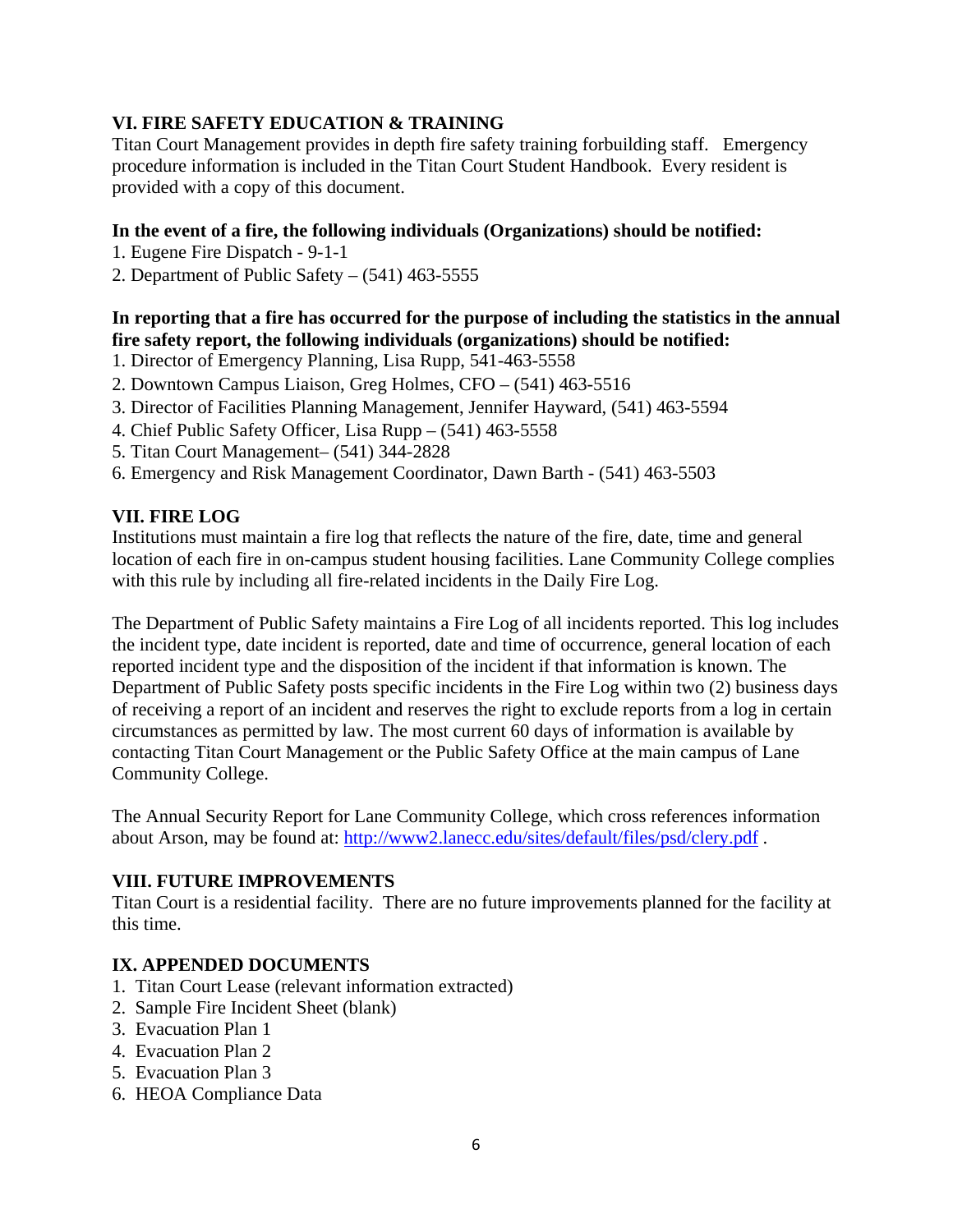# **VI. FIRE SAFETY EDUCATION & TRAINING**

Titan Court Management provides in depth fire safety training forbuilding staff. Emergency procedure information is included in the Titan Court Student Handbook. Every resident is provided with a copy of this document.

#### **In the event of a fire, the following individuals (Organizations) should be notified:**

- 1. Eugene Fire Dispatch 9-1-1
- 2. Department of Public Safety  $(541)$  463-5555

#### **In reporting that a fire has occurred for the purpose of including the statistics in the annual fire safety report, the following individuals (organizations) should be notified:**

- 1. Director of Emergency Planning, Lisa Rupp, 541-463-5558
- 2. Downtown Campus Liaison, Greg Holmes, CFO (541) 463-5516
- 3. Director of Facilities Planning Management, Jennifer Hayward, (541) 463-5594
- 4. Chief Public Safety Officer, Lisa Rupp (541) 463-5558
- 5. Titan Court Management– (541) 344-2828
- 6. Emergency and Risk Management Coordinator, Dawn Barth (541) 463-5503

#### **VII. FIRE LOG**

Institutions must maintain a fire log that reflects the nature of the fire, date, time and general location of each fire in on-campus student housing facilities. Lane Community College complies with this rule by including all fire-related incidents in the Daily Fire Log.

The Department of Public Safety maintains a Fire Log of all incidents reported. This log includes the incident type, date incident is reported, date and time of occurrence, general location of each reported incident type and the disposition of the incident if that information is known. The Department of Public Safety posts specific incidents in the Fire Log within two (2) business days of receiving a report of an incident and reserves the right to exclude reports from a log in certain circumstances as permitted by law. The most current 60 days of information is available by contacting Titan Court Management or the Public Safety Office at the main campus of Lane Community College.

The Annual Security Report for Lane Community College, which cross references information about Arson, may be found at:<http://www2.lanecc.edu/sites/default/files/psd/clery.pdf>.

#### **VIII. FUTURE IMPROVEMENTS**

Titan Court is a residential facility. There are no future improvements planned for the facility at this time.

#### **IX. APPENDED DOCUMENTS**

- 1. Titan Court Lease (relevant information extracted)
- 2. Sample Fire Incident Sheet (blank)
- 3. Evacuation Plan 1
- 4. Evacuation Plan 2
- 5. Evacuation Plan 3
- 6. HEOA Compliance Data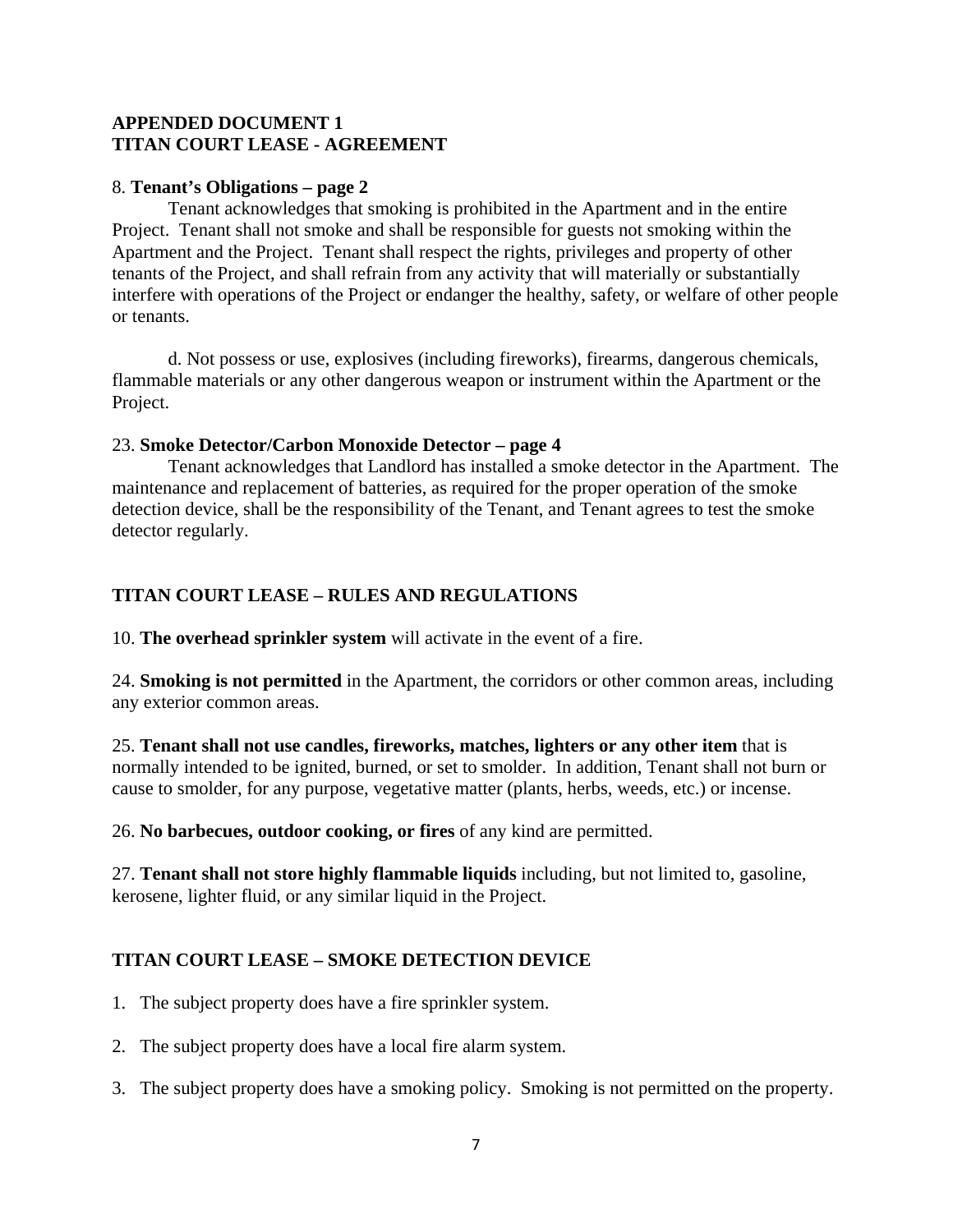#### **APPENDED DOCUMENT 1 TITAN COURT LEASE - AGREEMENT**

#### 8. **Tenant's Obligations – page 2**

Tenant acknowledges that smoking is prohibited in the Apartment and in the entire Project. Tenant shall not smoke and shall be responsible for guests not smoking within the Apartment and the Project. Tenant shall respect the rights, privileges and property of other tenants of the Project, and shall refrain from any activity that will materially or substantially interfere with operations of the Project or endanger the healthy, safety, or welfare of other people or tenants.

d. Not possess or use, explosives (including fireworks), firearms, dangerous chemicals, flammable materials or any other dangerous weapon or instrument within the Apartment or the Project.

#### 23. **Smoke Detector/Carbon Monoxide Detector – page 4**

Tenant acknowledges that Landlord has installed a smoke detector in the Apartment. The maintenance and replacement of batteries, as required for the proper operation of the smoke detection device, shall be the responsibility of the Tenant, and Tenant agrees to test the smoke detector regularly.

# **TITAN COURT LEASE – RULES AND REGULATIONS**

10. **The overhead sprinkler system** will activate in the event of a fire.

24. **Smoking is not permitted** in the Apartment, the corridors or other common areas, including any exterior common areas.

25. **Tenant shall not use candles, fireworks, matches, lighters or any other item** that is normally intended to be ignited, burned, or set to smolder. In addition, Tenant shall not burn or cause to smolder, for any purpose, vegetative matter (plants, herbs, weeds, etc.) or incense.

26. **No barbecues, outdoor cooking, or fires** of any kind are permitted.

27. **Tenant shall not store highly flammable liquids** including, but not limited to, gasoline, kerosene, lighter fluid, or any similar liquid in the Project.

#### **TITAN COURT LEASE – SMOKE DETECTION DEVICE**

- 1. The subject property does have a fire sprinkler system.
- 2. The subject property does have a local fire alarm system.
- 3. The subject property does have a smoking policy. Smoking is not permitted on the property.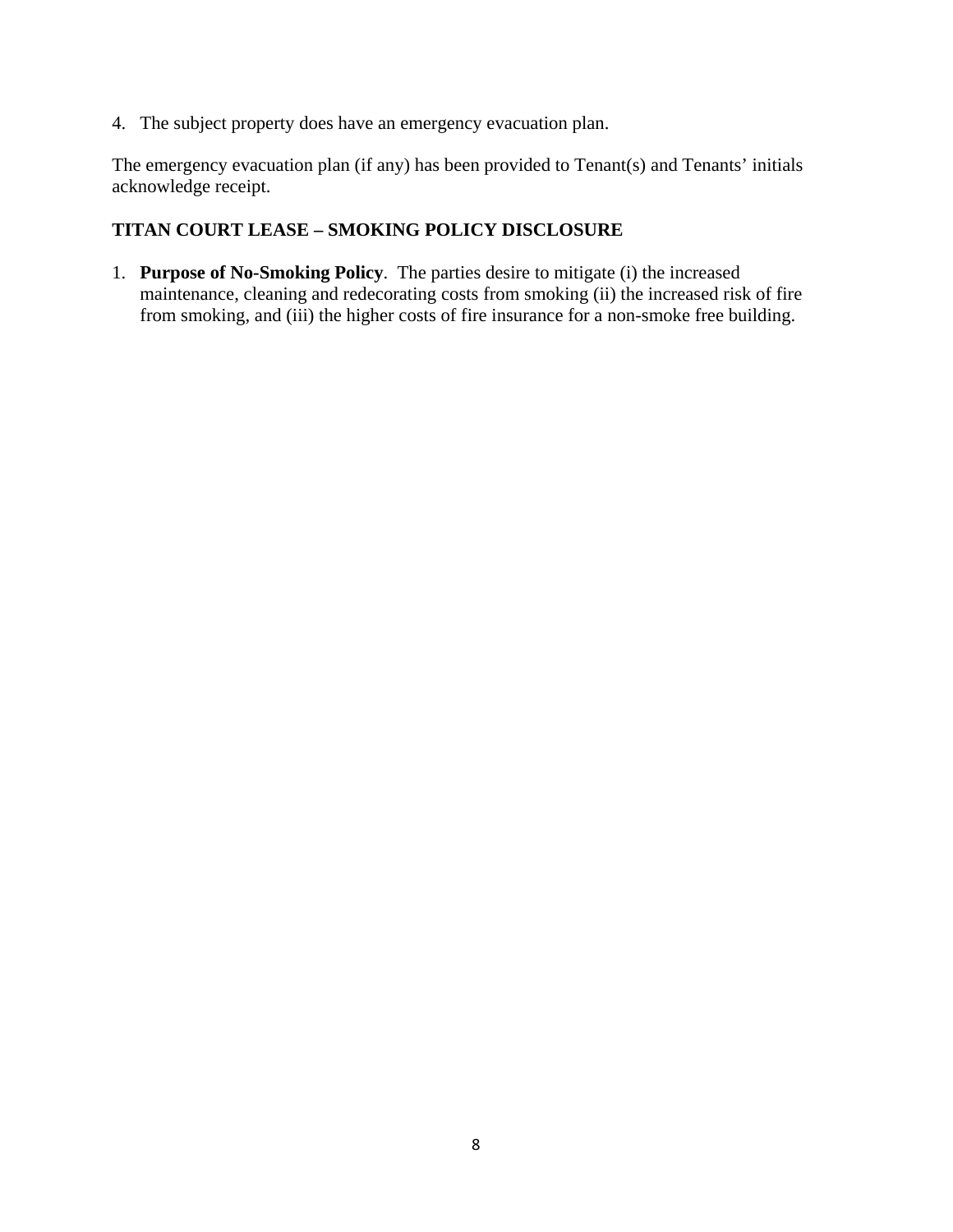4. The subject property does have an emergency evacuation plan.

The emergency evacuation plan (if any) has been provided to Tenant(s) and Tenants' initials acknowledge receipt.

#### **TITAN COURT LEASE – SMOKING POLICY DISCLOSURE**

1. **Purpose of No-Smoking Policy**. The parties desire to mitigate (i) the increased maintenance, cleaning and redecorating costs from smoking (ii) the increased risk of fire from smoking, and (iii) the higher costs of fire insurance for a non-smoke free building.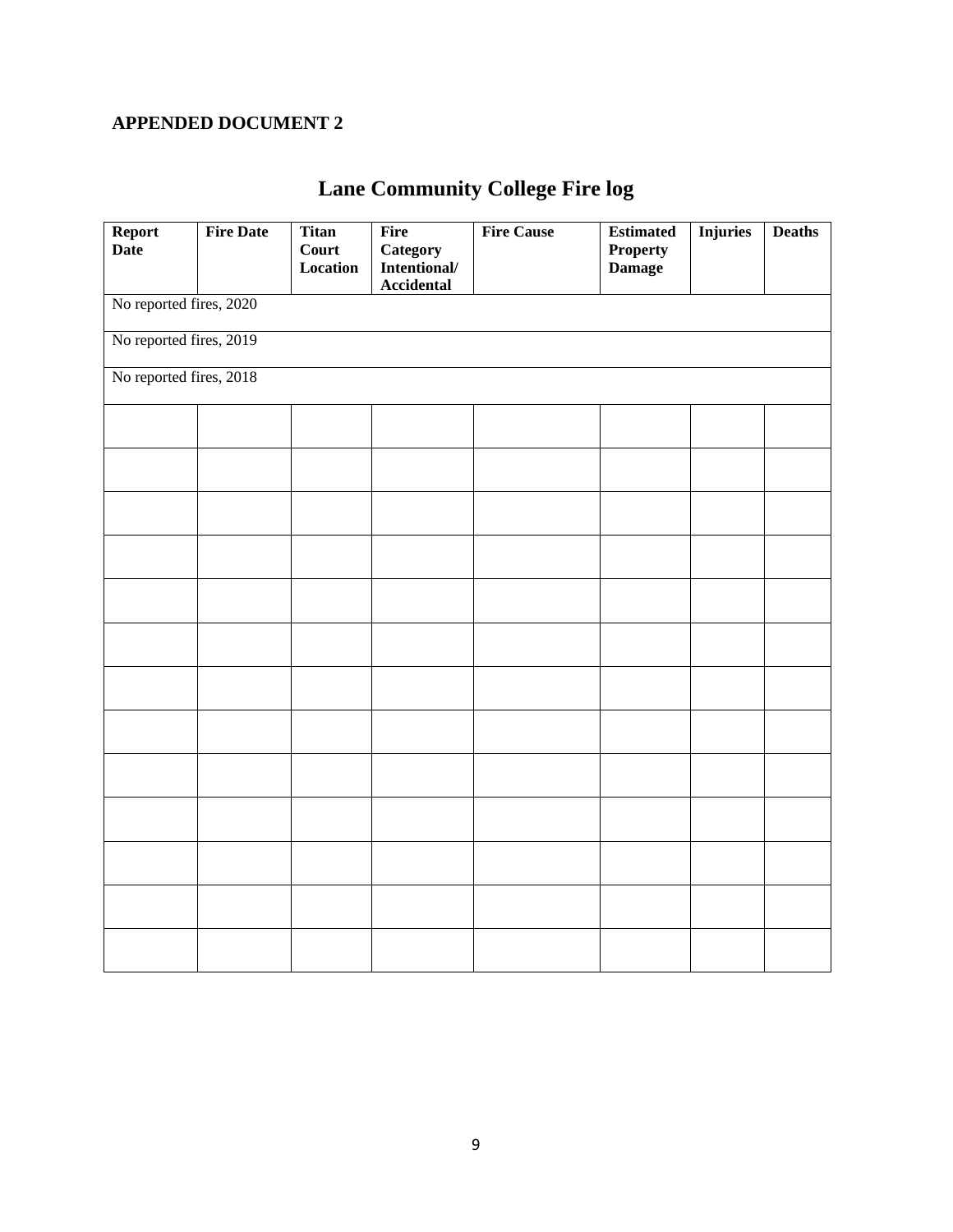# **APPENDED DOCUMENT 2**

# **Lane Community College Fire log**

| Report                  | <b>Fire Date</b> | <b>Titan</b>      | Fire                            | <b>Fire Cause</b> | <b>Estimated</b>                 | <b>Injuries</b> | <b>Deaths</b> |  |  |
|-------------------------|------------------|-------------------|---------------------------------|-------------------|----------------------------------|-----------------|---------------|--|--|
| <b>Date</b>             |                  | Court<br>Location | <b>Category</b><br>Intentional/ |                   | <b>Property</b><br><b>Damage</b> |                 |               |  |  |
|                         |                  |                   | <b>Accidental</b>               |                   |                                  |                 |               |  |  |
| No reported fires, 2020 |                  |                   |                                 |                   |                                  |                 |               |  |  |
| No reported fires, 2019 |                  |                   |                                 |                   |                                  |                 |               |  |  |
| No reported fires, 2018 |                  |                   |                                 |                   |                                  |                 |               |  |  |
|                         |                  |                   |                                 |                   |                                  |                 |               |  |  |
|                         |                  |                   |                                 |                   |                                  |                 |               |  |  |
|                         |                  |                   |                                 |                   |                                  |                 |               |  |  |
|                         |                  |                   |                                 |                   |                                  |                 |               |  |  |
|                         |                  |                   |                                 |                   |                                  |                 |               |  |  |
|                         |                  |                   |                                 |                   |                                  |                 |               |  |  |
|                         |                  |                   |                                 |                   |                                  |                 |               |  |  |
|                         |                  |                   |                                 |                   |                                  |                 |               |  |  |
|                         |                  |                   |                                 |                   |                                  |                 |               |  |  |
|                         |                  |                   |                                 |                   |                                  |                 |               |  |  |
|                         |                  |                   |                                 |                   |                                  |                 |               |  |  |
|                         |                  |                   |                                 |                   |                                  |                 |               |  |  |
|                         |                  |                   |                                 |                   |                                  |                 |               |  |  |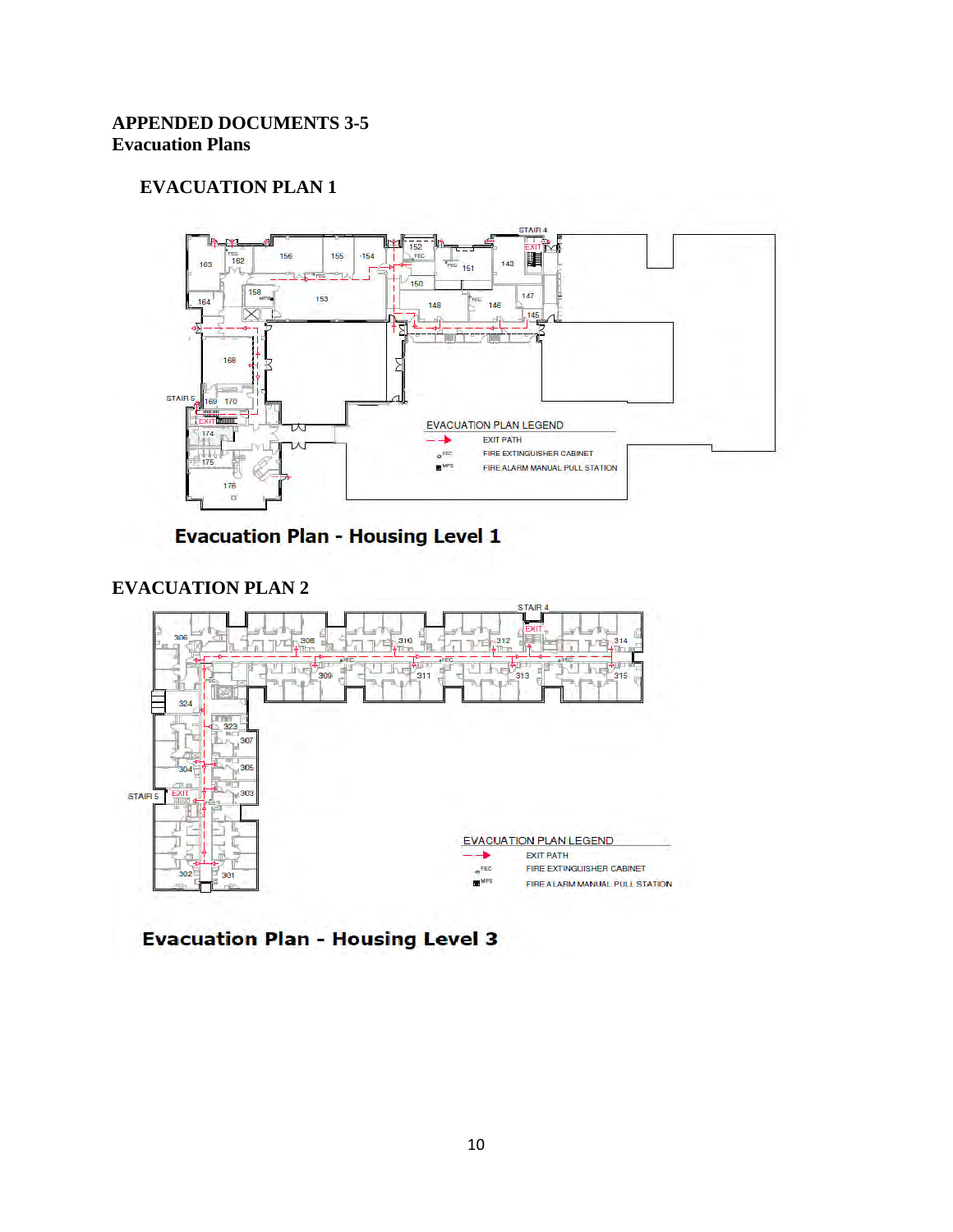# **APPENDED DOCUMENTS 3-5 Evacuation Plans**

### **EVACUATION PLAN 1**



**Evacuation Plan - Housing Level 1** 

# **EVACUATION PLAN 2**



**Evacuation Plan - Housing Level 3**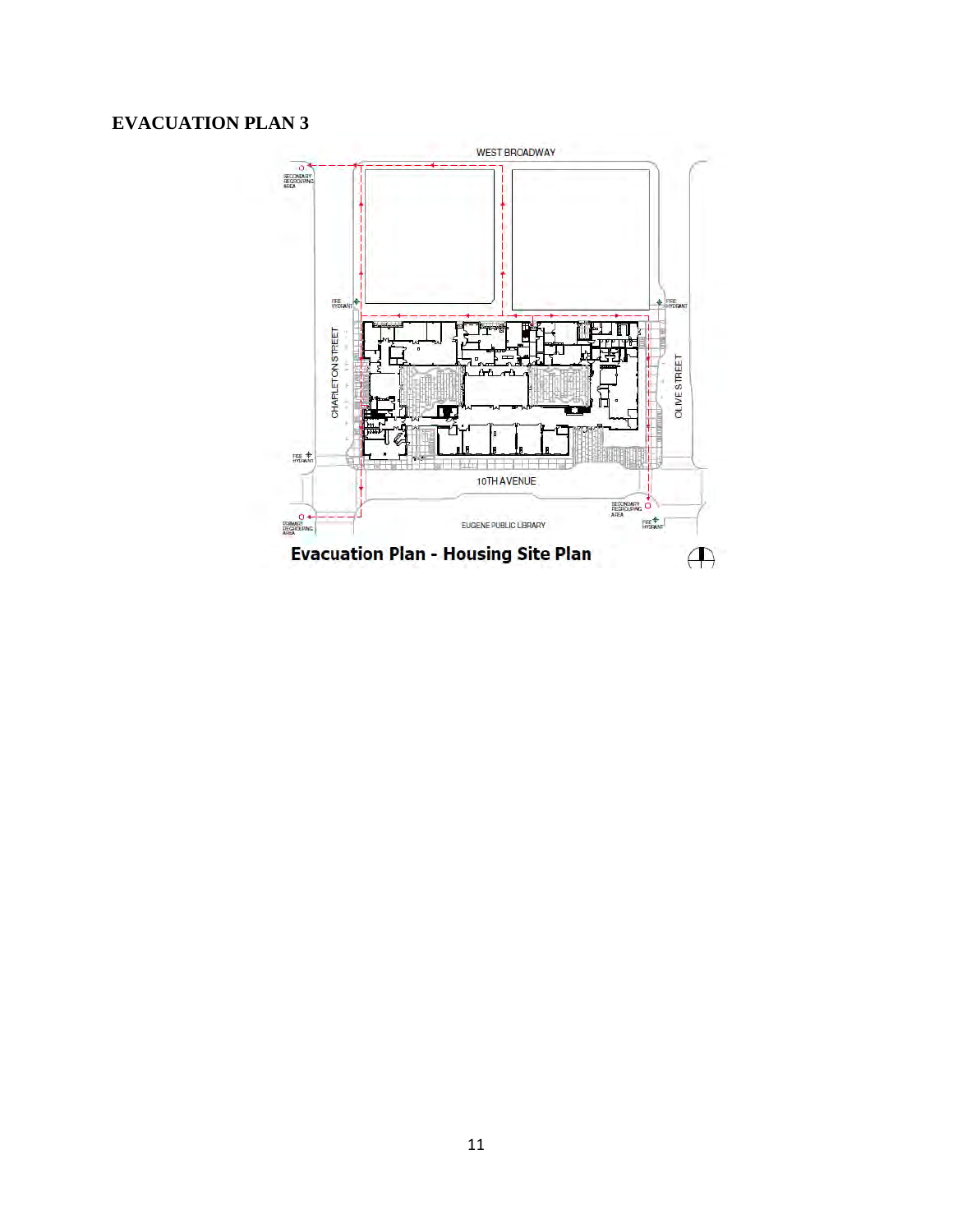# **EVACUATION PLAN 3**